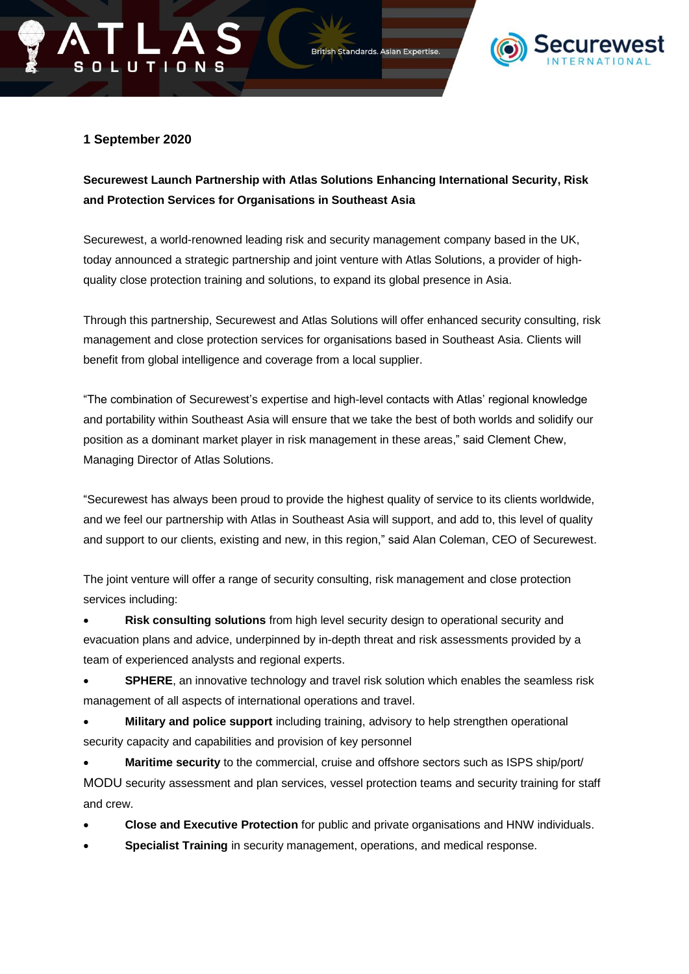



## **1 September 2020**

**OLUTIONS** 

## **Securewest Launch Partnership with Atlas Solutions Enhancing International Security, Risk and Protection Services for Organisations in Southeast Asia**

Securewest, a world-renowned leading risk and security management company based in the UK, today announced a strategic partnership and joint venture with Atlas Solutions, a provider of highquality close protection training and solutions, to expand its global presence in Asia.

Through this partnership, Securewest and Atlas Solutions will offer enhanced security consulting, risk management and close protection services for organisations based in Southeast Asia. Clients will benefit from global intelligence and coverage from a local supplier.

"The combination of Securewest's expertise and high-level contacts with Atlas' regional knowledge and portability within Southeast Asia will ensure that we take the best of both worlds and solidify our position as a dominant market player in risk management in these areas," said Clement Chew, Managing Director of Atlas Solutions.

"Securewest has always been proud to provide the highest quality of service to its clients worldwide, and we feel our partnership with Atlas in Southeast Asia will support, and add to, this level of quality and support to our clients, existing and new, in this region," said Alan Coleman, CEO of Securewest.

The joint venture will offer a range of security consulting, risk management and close protection services including:

• **Risk consulting solutions** from high level security design to operational security and evacuation plans and advice, underpinned by in-depth threat and risk assessments provided by a team of experienced analysts and regional experts.

**SPHERE**, an innovative technology and travel risk solution which enables the seamless risk management of all aspects of international operations and travel.

• **Military and police support** including training, advisory to help strengthen operational security capacity and capabilities and provision of key personnel

**Maritime security** to the commercial, cruise and offshore sectors such as ISPS ship/port/ MODU security assessment and plan services, vessel protection teams and security training for staff and crew.

- **Close and Executive Protection** for public and private organisations and HNW individuals.
- **Specialist Training** in security management, operations, and medical response.